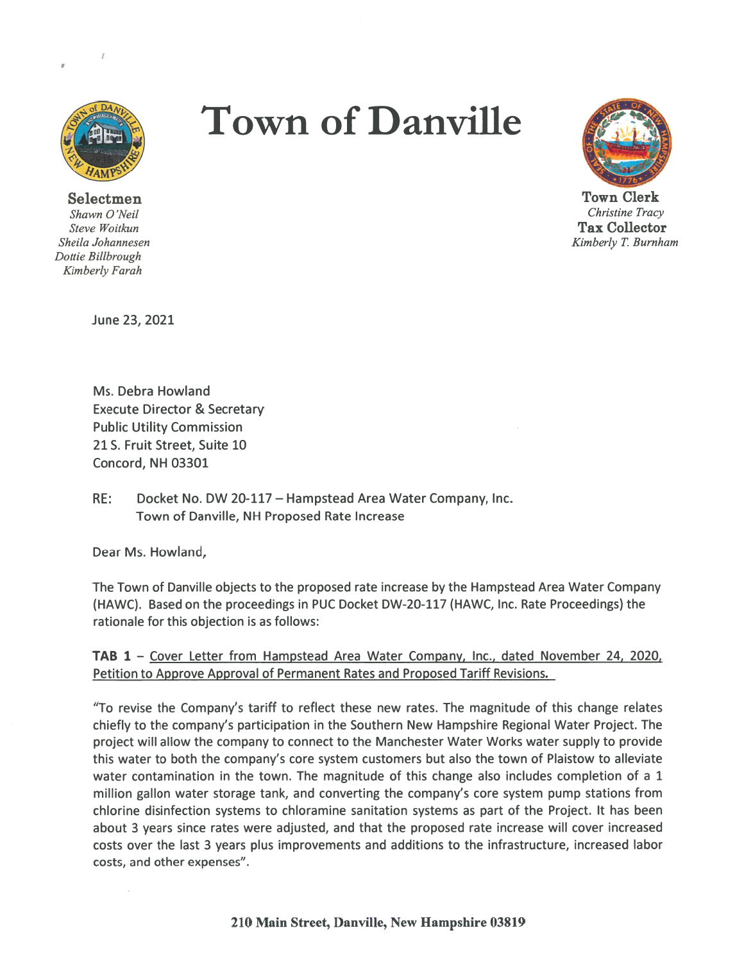

I

Selectmen Shawn 0 'Neil Steve Woitkun Sheila Johannesen Dottie Billbrough Kimberly Farah

# Town of Danville



Town Clerk Christine Tracy Tax Collector Kimberly T. Burnham

June 23, 2021

Ms. Debra Howland Execute Director & Secretary Public Utility Commission 21 5. Fruit Street, Suite 10 Concord, NH 03301

RE: Docket No. DW 20-117 — Hampstead Area Water Company, Inc. Town of Danville, NH Proposed Rate Increase

Dear Ms. Howland,

The Town of Danville objects to the proposed rate increase by the Hampstead Area Water Company (HAWC). Based on the proceedings in PUC Docket DW-20-117 (HAWC, Inc. Rate Proceedings) the rationale for this objection is as follows:

TAB 1 — Cover Letter from Hampstead Area Water Company, Inc., dated November 24, 2020 Petition to Approve Approval of Permanent Rates and Proposed Tariff Revisions.

"To revise the Company's tariff to reflect these new rates. The magnitude of this change relates chiefly to the company's participation in the Southern New Hampshire Regional Water Project. The project will allow the company to connect to the Manchester Water Works water supply to provide this water to both the company's core system customers but also the town of Plaistow to alleviate water contamination in the town. The magnitude of this change also includes completion of a 1 million gallon water storage tank, and converting the company's core system pump stations from chlorine disinfection systems to chloramine sanitation systems as par<sup>t</sup> of the Project. It has been about 3 years since rates were adjusted, and that the proposed rate increase will cover increased costs over the last 3 years plus improvements and additions to the infrastructure, increased labor costs, and other expenses".

210 Main Street, Danville, New Hampshire 03819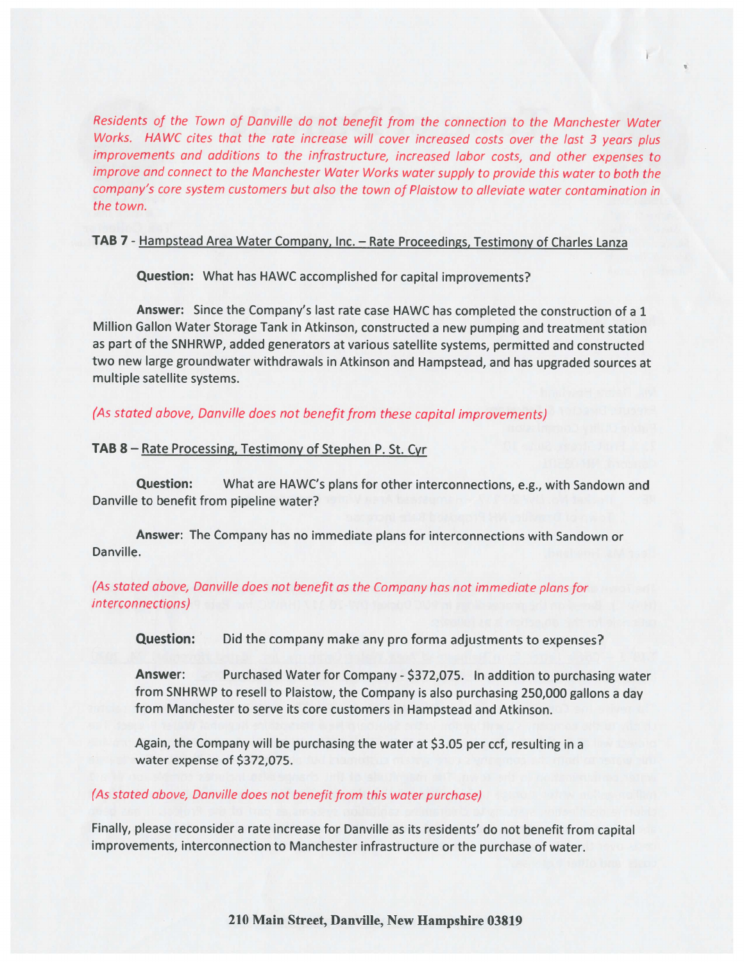Residents of the Town of Danville do not benefit from the connection to the Manchester Water Works. HAWC cites that the rate increase will cover increased costs over the last 3 years plus improvements and additions to the infrastructure, increased labor costs, and other expenses to improve and connect to the Manchester Water Works water supply to provide this water to both the company's core system customers but also the town of Plaistow to alleviate water contamination in the town.

#### TAB <sup>7</sup> - Hampstead Area Water Company, Inc. — Rate Proceedings, Testimony of Charles Lanza

Question: What has HAWC accomplished for capital improvements?

Answer: Since the Company's last rate case HAWC has completed the construction of <sup>a</sup> <sup>1</sup> Million Gallon Water Storage Tank in Atkinson, constructed <sup>a</sup> new pumping and treatment station as par<sup>t</sup> of the SNHRWP, added generators at various satellite systems, permitted and constructed two new large groundwater withdrawals in Atkinson and Hampstead, and has upgraded sources at multiple satellite systems.

## (As stated above, Danville does not benefit from these capital improvements)

#### TAB 8 — Rate Processing, Testimony of Stephen P. St. Cyr

Question: What are HAWC's <sup>p</sup>lans for other interconnections, e.g., with Sandown and Danville to benefit from pipeline water?

Answer: The Company has no immediate plans for interconnections with Sandown or Danville.

### (As stated above, Danville does not benefit as the Company has not immediate <sup>p</sup>lans for interconnections)

Question: Did the company make any pro forma adjustments to expenses?

Answer: Purchased Water for Company - \$372,075. In addition to purchasing water from SNHRWP to resell to Plaistow, the Company is also purchasing 250,000 gallons <sup>a</sup> day from Manchester to serve its core customers in Hampstead and Atkinson.

Again, the Company will be purchasing the water at \$3.05 per ccf, resulting in a water expense of \$372,075.

#### (As stated above, Danville does not benefit from this water purchase)

Finally, <sup>p</sup>lease reconsider <sup>a</sup> rate increase for Danville as its residents' do not benefit from capital improvements, interconnection to Manchester infrastructure or the purchase of water.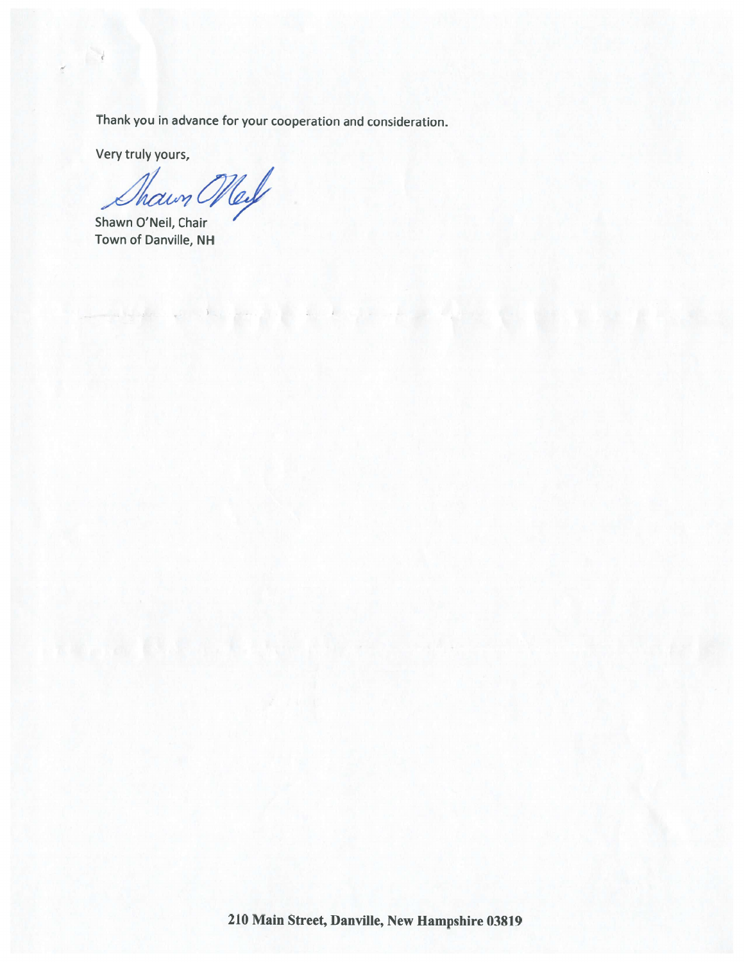Thank you in advance for your cooperation and consideration.

Very truly yours,

 $\mathcal{A}$ 

 $\tilde{\epsilon}$ 

Than Mel

Shawn O'Neil, Chair Town of Danville, NH

210 Main Street, Danville, New Hampshire 03819